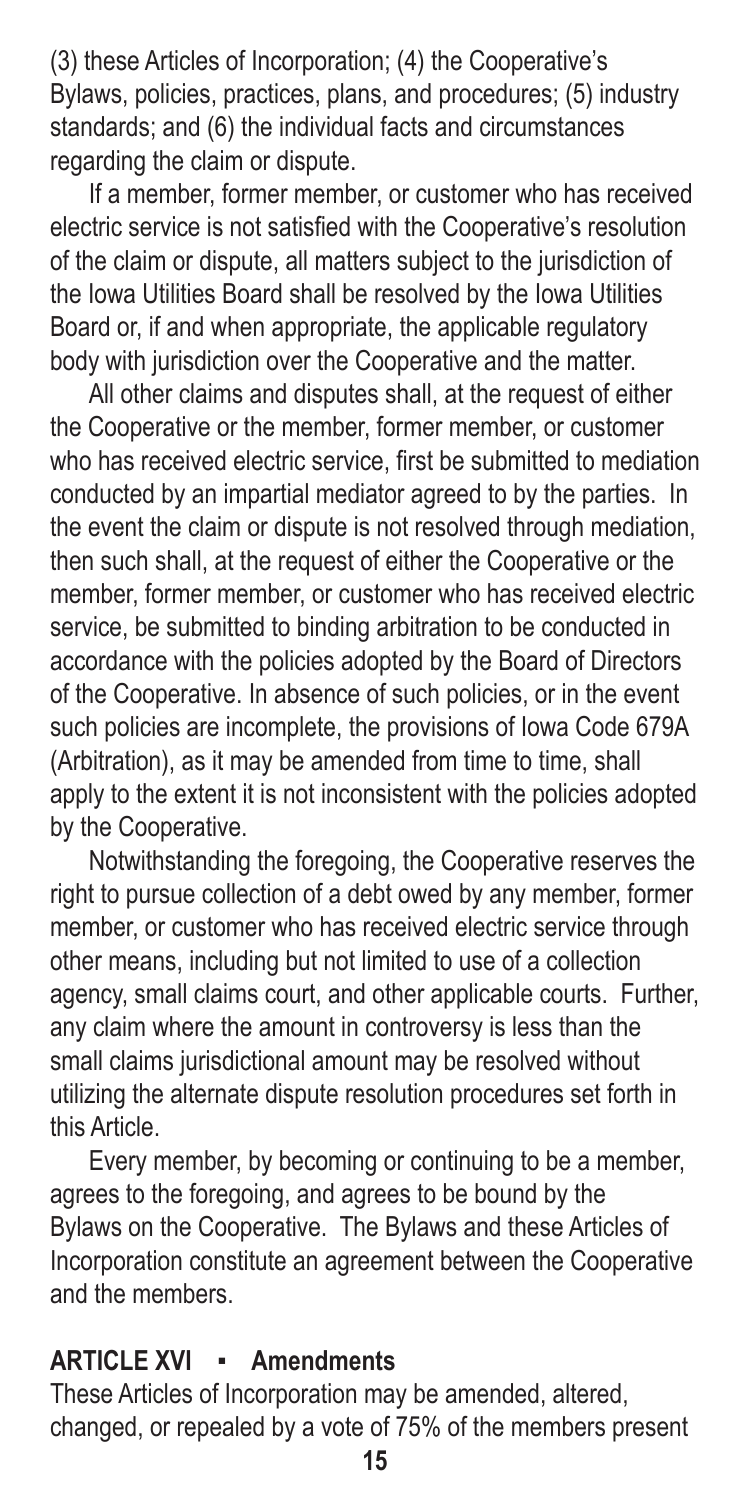(3) these Articles of Incorporation; (4) the Cooperative's Bylaws, policies, practices, plans, and procedures; (5) industry standards; and (6) the individual facts and circumstances regarding the claim or dispute.

If a member, former member, or customer who has received electric service is not satisfied with the Cooperative's resolution of the claim or dispute, all matters subject to the jurisdiction of the Iowa Utilities Board shall be resolved by the Iowa Utilities Board or, if and when appropriate, the applicable regulatory body with jurisdiction over the Cooperative and the matter.

All other claims and disputes shall, at the request of either the Cooperative or the member, former member, or customer who has received electric service, first be submitted to mediation conducted by an impartial mediator agreed to by the parties. In the event the claim or dispute is not resolved through mediation, then such shall, at the request of either the Cooperative or the member, former member, or customer who has received electric service, be submitted to binding arbitration to be conducted in accordance with the policies adopted by the Board of Directors of the Cooperative. In absence of such policies, or in the event such policies are incomplete, the provisions of Iowa Code 679A (Arbitration), as it may be amended from time to time, shall apply to the extent it is not inconsistent with the policies adopted by the Cooperative.

Notwithstanding the foregoing, the Cooperative reserves the right to pursue collection of a debt owed by any member, former member, or customer who has received electric service through other means, including but not limited to use of a collection agency, small claims court, and other applicable courts. Further, any claim where the amount in controversy is less than the small claims jurisdictional amount may be resolved without utilizing the alternate dispute resolution procedures set forth in this Article.

Every member, by becoming or continuing to be a member, agrees to the foregoing, and agrees to be bound by the Bylaws on the Cooperative. The Bylaws and these Articles of Incorporation constitute an agreement between the Cooperative and the members.

## **ARTICLE XVI ▪ Amendments**

These Articles of Incorporation may be amended, altered, changed, or repealed by a vote of 75% of the members present